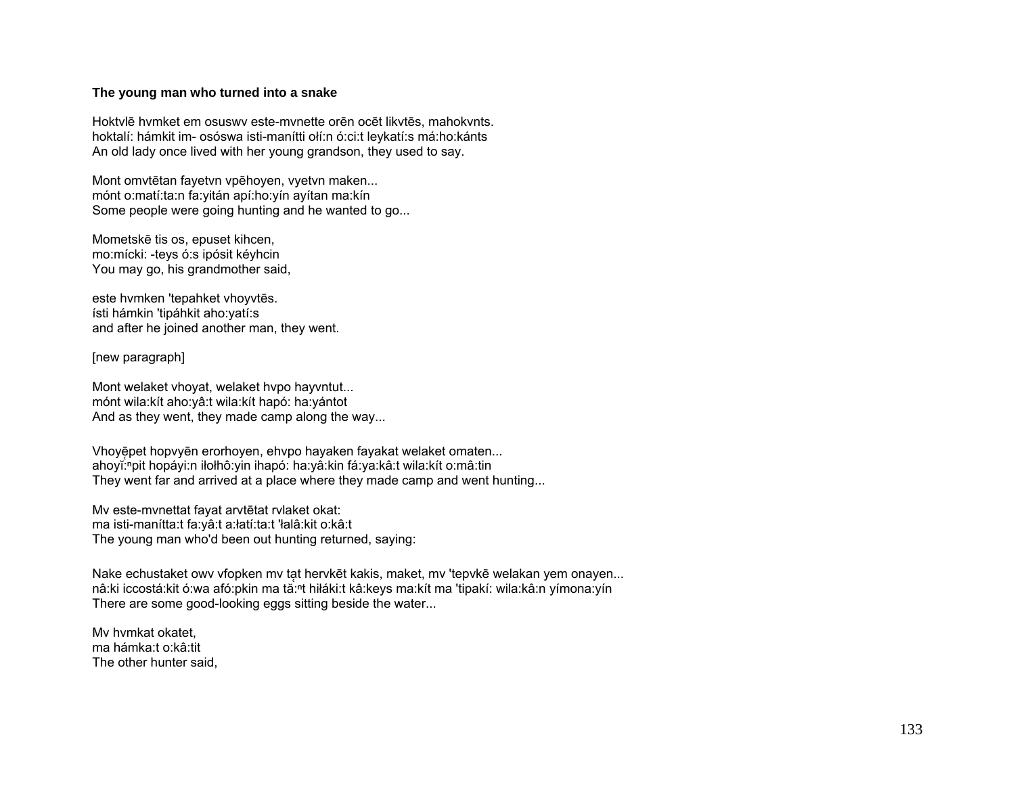## **The young man who turned into a snake**

Hoktvlē hvmket em osuswv este-mvnette orēn ocēt likvtēs, mahokvnts. hoktalí: hámkit im- osóswa isti-manítti ołí:n ó:ci:t leykatí:s má:ho:kánts An old lady once lived with her young grandson, they used to say.

Mont omvtētan fayetvn vpēhoyen, vyetvn maken... mónt o:matí:ta:n fa:yitán apí:ho:yín ayítan ma:kín Some people were going hunting and he wanted to go...

Mometskē tis os, epuset kihcen, mo:mícki: -teys ó:s ipósit kéyhcin You may go, his grandmother said,

este hvmken 'tepahket vhoyvtēs. ísti hámkin 'tipáhkit aho:yatí:s and after he joined another man, they went.

[new paragraph]

Mont welaket vhoyat, welaket hvpo hayvntut... mónt wila:kít aho:yâ:t wila:kít hapó: ha:yántot And as they went, they made camp along the way...

Vhoyē pet hopvyēn erorhoyen, ehvpo hayaken fayakat welaket omaten... ahoyĭ:<sup>ⁿ</sup>pit hopáyi:n iłołhô:yin ihapó: ha:yâ:kin fá:ya:kâ:t wila:kít o:mâ:tin They went far and arrived at a place where they made camp and went hunting...

Mv este-mvnettat fayat arvtētat rvlaket okat: ma isti-manítta:t fa:yâ:t a:łatí:ta:t 'łalâ:kit o:kâ:t The young man who'd been out hunting returned, saying:

Nake echustaket owv vfopken mv tat hervkēt kakis, maket, mv 'tepvkē welakan yem onayen... nâ:ki iccostá:kit ó:wa afó:pkin ma tă:<sup>n</sup>t hiłáki:t kâ:keys ma:kít ma 'tipakí: wila:kâ:n yímona:yín There are some good-looking eggs sitting beside the water...

Mv hvmkat okatet, ma hámka:t o:kâ:tit The other hunter said,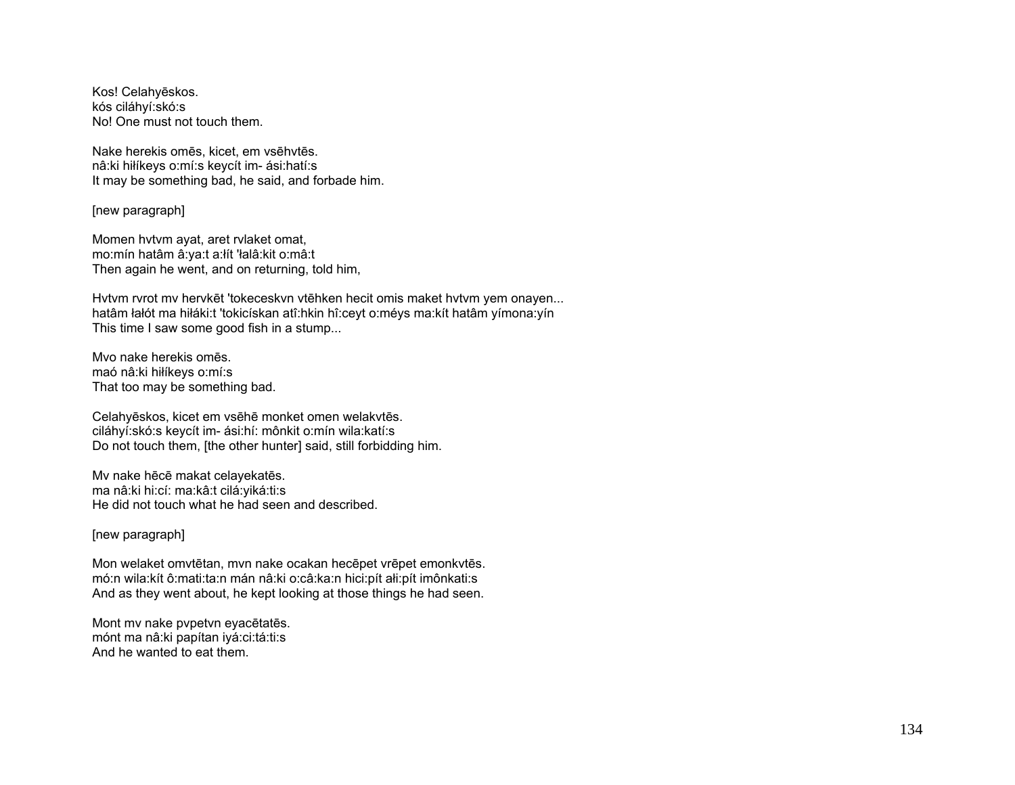Kos! Celahyēskos. kós ciláhyí:skó:s No! One must not touch them.

Nake herekis omēs, kicet, em vsēhvtēs. nâ:ki hiłíkeys o:mí:s keycít im- ási:hatí:s It may be something bad, he said, and forbade him.

[new paragraph]

Momen hvtvm ayat, aret rvlaket omat, mo:mín hatâm â:ya:t a:łít 'łalâ:kit o:mâ:t Then again he went, and on returning, told him,

Hvtvm rvrot mv hervkēt 'tokeceskvn vtēhken hecit omis maket hvtvm yem onayen... hatâm łałót ma hiłáki:t 'tokicískan atî:hkin hî:ceyt o:méys ma:kít hatâm yímona:yín This time I saw some good fish in a stump...

Mvo nake herekis omēs. maó nâ:ki hiłíkeys o:mí:s That too may be something bad.

Celahyēskos, kicet em vsēhē monket omen welakvtēs. ciláhyí:skó:s keycít im- ási:hí: mônkit o:mín wila:katí:s Do not touch them, [the other hunter] said, still forbidding him.

Mv nake hēcē makat celayekatēs. ma nâ:ki hi:cí: ma:kâ:t cilá:yiká:ti:s He did not touch what he had seen and described.

## [new paragraph]

Mon welaket omvtētan, mvn nake ocakan hecēpet vrēpet emonkvtēs. mó:n wila:kít ô:mati:ta:n mán nâ:ki o:câ:ka:n hici:pít ałi:pít imônkati:s And as they went about, he kept looking at those things he had seen.

Mont mv nake pvpetvn eyacētatēs. mónt ma nâ:ki papítan iyá:ci:tá:ti:s And he wanted to eat them.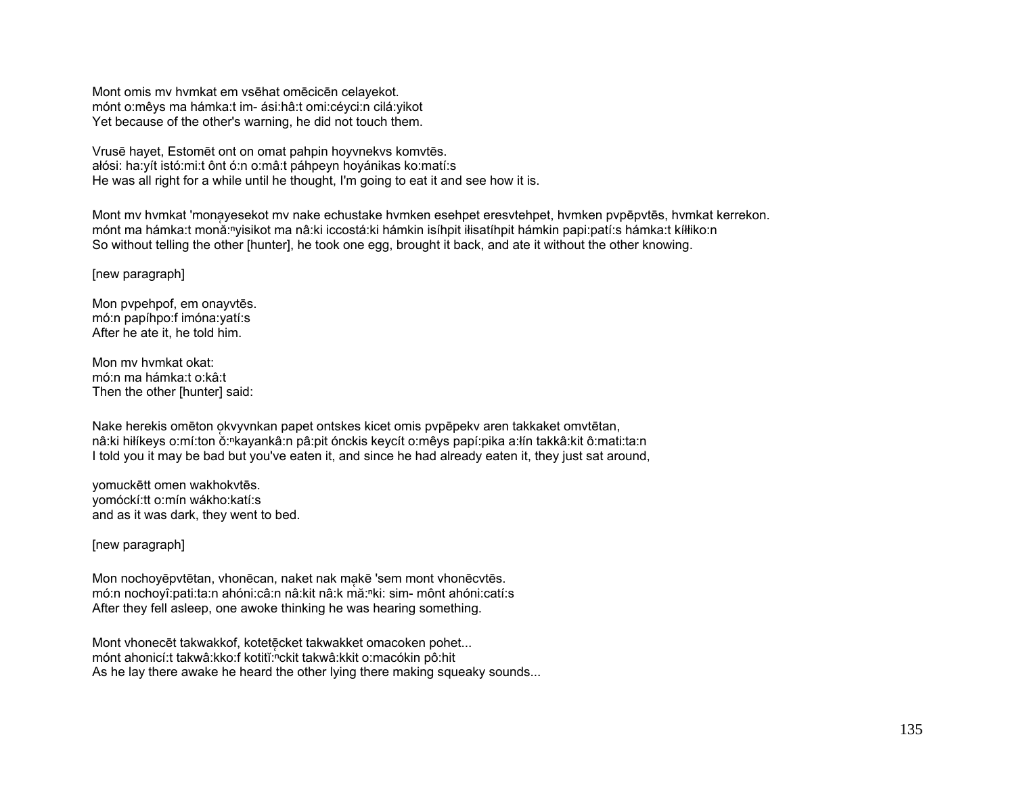Mont omis mv hvmkat em vsēhat omēcicēn celayekot. mónt o:mêys ma hámka:t im- ási:hâ:t omi:céyci:n cilá:yikot Yet because of the other's warning, he did not touch them.

Vrusē hayet, Estomēt ont on omat pahpin hoyvnekvs komvtēs. <sup>a</sup>łósi: ha:yít istó:mi:t ônt ó:n o:mâ:t páhpeyn hoyánikas ko:matí:s He was all right for a while until he thought, I'm going to eat it and see how it is.

Mont mv hvmkat 'mona̜yesekot mv nake echustake hvmken esehpet eresvtehpet, hvmken pvpēpvtēs, hvmkat kerrekon. mónt ma hámka:t monă:<sup>ⁿ</sup>yisikot ma nâ:ki iccostá:ki hámkin isíhpit iłisatíhpit hámkin papi:patí:s hámka:t kíłłiko:n So without telling the other [hunter], he took one egg, brought it back, and ate it without the other knowing.

[new paragraph]

Mon pvpehpof, em onayvtēs. mó:n papíhpo:f imóna:yatí:s After he ate it, he told him.

Mon mv hvmkat okat: mó:n ma hámka:t o:kâ:t Then the other [hunter] said:

Nake herekis omēton o̜kvyvnkan papet ontskes kicet omis pvpēpekv aren takkaket omvtētan, nâ:ki hiłíkeys o:mí:ton ŏ:<sup>ⁿ</sup>kayankâ:n pâ:pit ónckis keycít o:mêys papí:pika a:łín takkâ:kit ô:mati:ta:n I told you it may be bad but you've eaten it, and since he had already eaten it, they just sat around,

yomuckētt omen wakhokvtēs. yomóckí:tt o:mín wákho:katí:s and as it was dark, they went to bed.

[new paragraph]

Mon nochoyēpvtētan, vhonēcan, naket nak makē 'sem mont vhonēcvtēs. mó:n nochoyî:pati:ta:n ahóni:câ:n nâ:kit nâ:k mă:nki: sim- mônt ahóni:catí:s After they fell asleep, one awoke thinking he was hearing something.

Mont vhonecēt takwakkof, kotetēcket takwakket omacoken pohet... mónt ahonicí:t takwâ:kko:f kotitĭ:nckit takwâ:kkit o:macókin pô:hit As he lay there awake he heard the other lying there making squeaky sounds...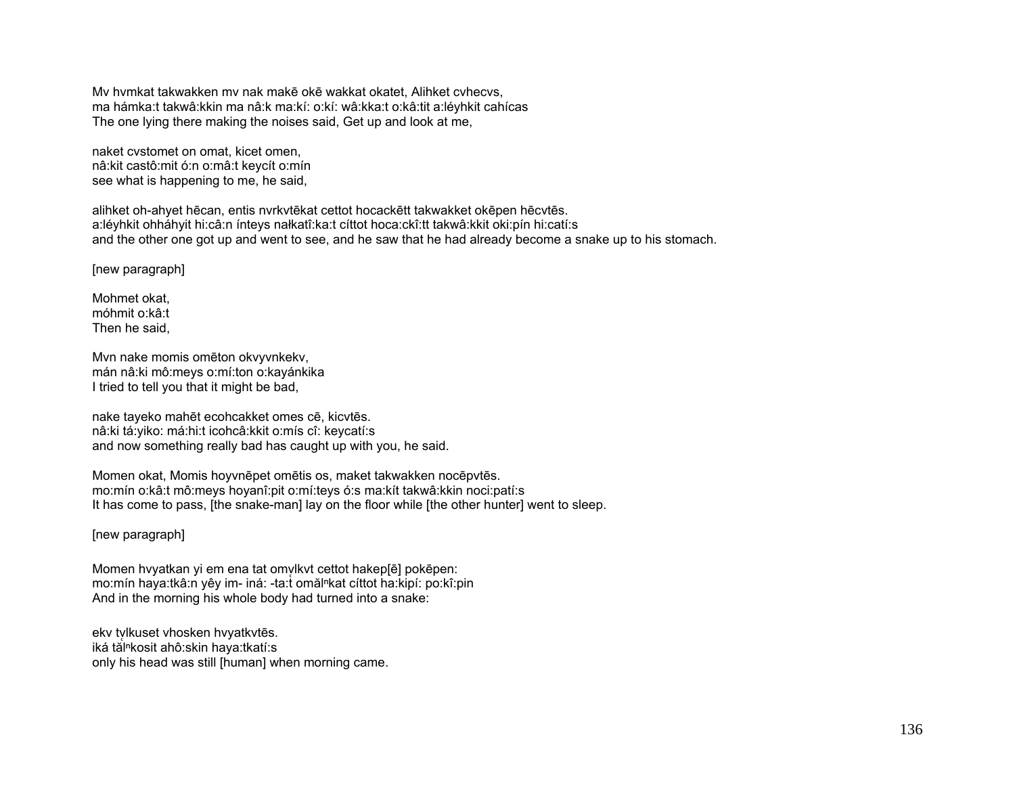Mv hvmkat takwakken mv nak makē okē wakkat okatet, Alihket cvhecvs, ma hámka:t takwâ:kkin ma nâ:k ma:kí: o:kí: wâ:kka:t o:kâ:tit a:léyhkit cahícas The one lying there making the noises said, Get up and look at me,

naket cvstomet on omat, kicet omen, nâ:kit castô:mit ó:n o:mâ:t keycít o:mín see what is happening to me, he said,

alihket oh-ahyet hēcan, entis nvrkvtēkat cettot hocackētt takwakket okēpen hēcvtēs. a:léyhkit ohháhyit hi:câ:n ínteys nałkatî:ka:t cíttot hoca:ckî:tt takwâ:kkit oki:pín hi:catí:s and the other one got up and went to see, and he saw that he had already become a snake up to his stomach.

[new paragraph]

Mohmet okat, móhmit o:kâ:t Then he said,

Mvn nake momis omēton okvyvnkekv, mán nâ:ki mô:meys o:mí:ton o:kayánkika I tried to tell you that it might be bad,

nake tayeko mahēt ecohcakket omes cē, kicvtēs. nâ:ki tá:yiko: má:hi:t icohcâ:kkit o:mís cî: keycatí:s and now something really bad has caught up with you, he said.

Momen okat, Momis hoyvnēpet omētis os, maket takwakken nocēpvtēs. mo:mín o:kâ:t mô:meys hoyanî:pit o:mí:teys ó:s ma:kít takwâ:kkin noci:patí:s It has come to pass, [the snake-man] lay on the floor while [the other hunter] went to sleep.

[new paragraph]

Momen hvyatkan yi em ena tat omvlkyt cettot hakep[ē] pokēpen: mo:mín haya:tkâ:n yêy im- iná: -ta:t omălⁿkat cíttot ha:kipí: po:kî:pin And in the morning his whole body had turned into a snake:

ekv tylkuset vhosken hvyatkvtēs. iká tăl<sup>n</sup>kosit ahô:skin haya:tkatí:s only his head was still [human] when morning came.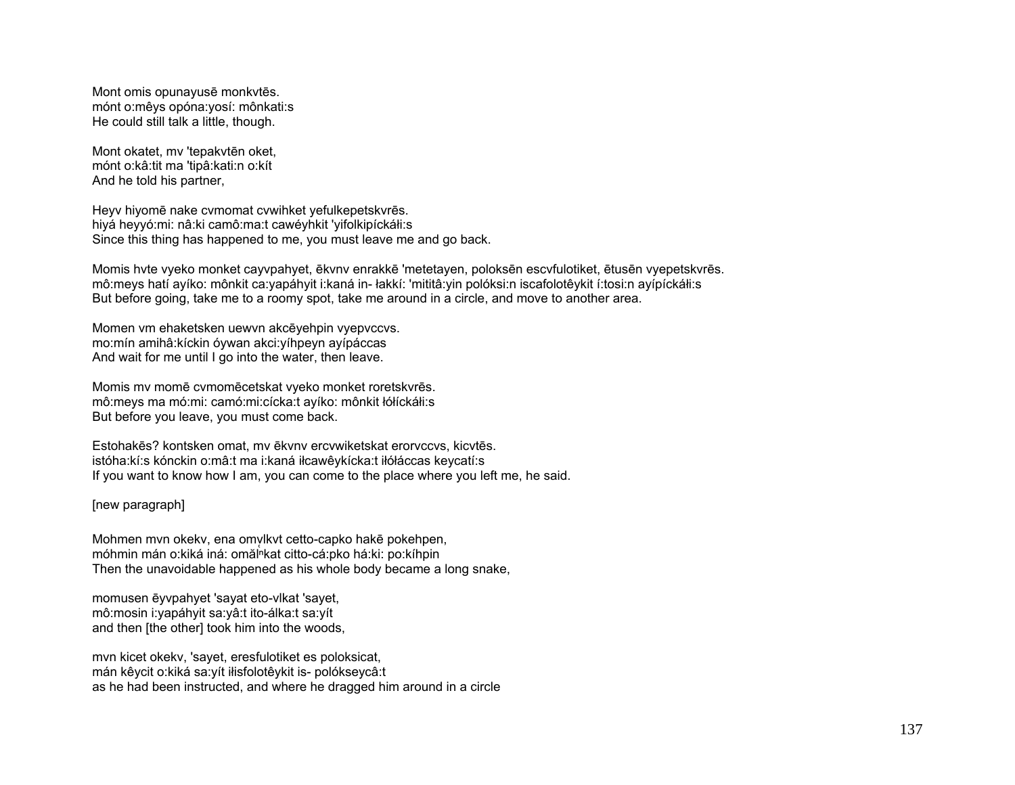Mont omis opunayusē monkvtēs. mónt o:mêys opóna:yosí: mônkati:s He could still talk a little, though.

Mont okatet, mv 'tepakvtēn oket, mónt o:kâ:tit ma 'tipâ:kati:n o:kít And he told his partner,

Heyv hiyomē nake cvmomat cvwihket yefulkepetskvrēs. hiyá heyyó:mi: nâ:ki camô:ma:t cawéyhkit 'yifolkipíckáłi:s Since this thing has happened to me, you must leave me and go back.

Momis hvte vyeko monket cayvpahyet, ēkvnv enrakkē 'metetayen, poloksēn escvfulotiket, ētusēn vyepetskvrēs. mô:meys hatí ayíko: mônkit ca:yapáhyit i:kaná in- łakkí: 'mititâ:yin polóksi:n iscafolotêykit í:tosi:n ayípíckáłi:s But before going, take me to a roomy spot, take me around in a circle, and move to another area.

Momen vm ehaketsken uewvn akcēyehpin vyepvccvs. mo:mín amihâ:kíckin óywan akci:yíhpeyn ayípáccas And wait for me until I go into the water, then leave.

Momis mv momē cvmomēcetskat vyeko monket roretskvrēs. mô:meys ma mó:mi: camó:mi:cícka:t ayíko: mônkit łółíckáłi:s But before you leave, you must come back.

Estohakēs? kontsken omat, mv ēkvnv ercvwiketskat erorvccvs, kicvtēs. istóha:kí:s kónckin o:mâ:t ma i:kaná iłcawêykícka:t iłółáccas keycatí:s If you want to know how I am, you can come to the place where you left me, he said.

[new paragraph]

Mohmen mvn okekv, ena omvlkvt cetto-capko hakē pokehpen, móhmin mán o:kiká iná: omălʰkat citto-cá:pko há:ki: po:kíhpin Then the unavoidable happened as his whole body became a long snake,

momusen ēyvpahyet 'sayat eto-vlkat 'sayet, mô:mosin i:yapáhyit sa:yâ:t ito-álka:t sa:yít and then [the other] took him into the woods,

mvn kicet okekv, 'sayet, eresfulotiket es poloksicat, mán kêycit o:kiká sa:yít iłisfolotêykit is- polókseycâ:t as he had been instructed, and where he dragged him around in a circle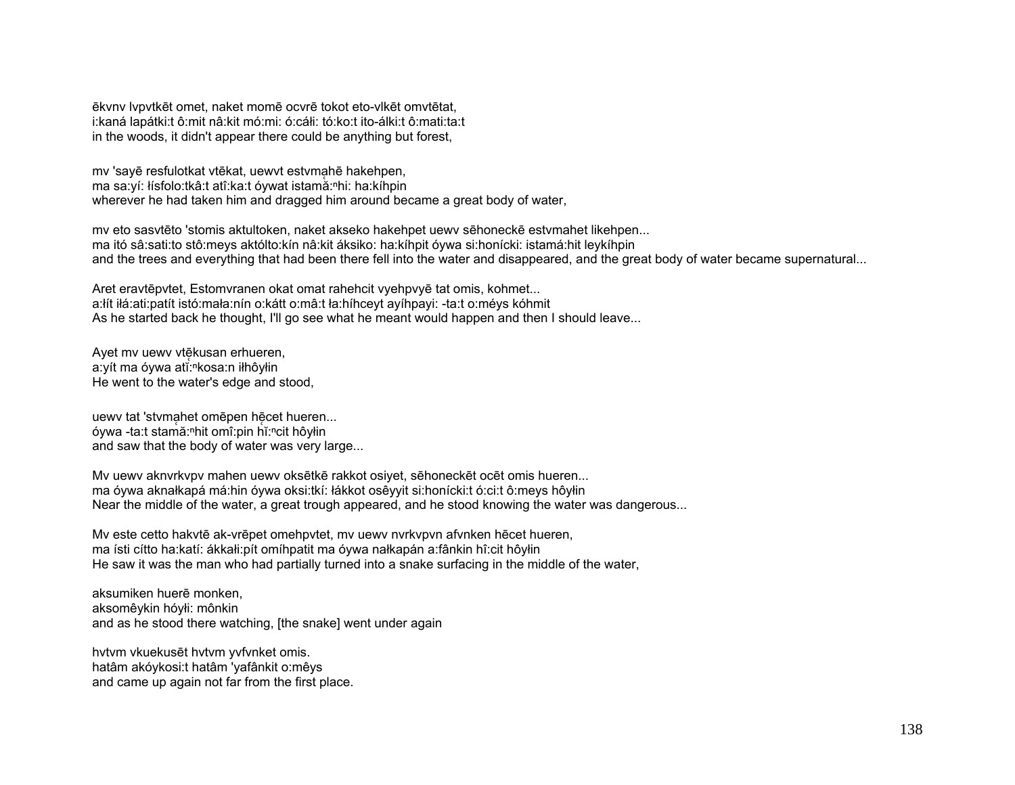ēkvny lypytkēt omet, naket momē ocvrē tokot eto-vikēt omvtētat, i:kaná lapátki:t ô:mit nâ:kit mó:mi: ó:cáłi: tó:ko:t ito-álki:t ô:mati:ta:t in the woods, it didn't appear there could be anything but forest,

my 'sayē resfulotkat vtēkat, uewyt estymahē hakehpen, ma sa:yí: łísfolo:tkâ:t atî:ka:t óywat istamă:<sup>n</sup>hi: ha:kíhpin wherever he had taken him and dragged him around became a great body of water,

my eto sasytēto 'stomis aktultoken, naket akseko hakehpet uewy sēhoneckē estymahet likehpen... ma itó sâ:sati:to stô:meys aktólto:kín nâ:kit áksiko: ha:kíhpit óywa si:honícki: istamá:hit leykíhpin and the trees and everything that had been there fell into the water and disappeared, and the great body of water became supernatural...

Aret eravtēpvtet, Estomvranen okat omat rahehcit vyehpvyē tat omis, kohmet... a: it it a: ati: patit istó: mała: nín o: kátt o: mâ: t ła: hí hce vt a víh pa vi: - ta: t o: mé vs kóhmit As he started back he thought, I'll go see what he meant would happen and then I should leave...

Ayet my uewy vtękusan erhueren, a:yít ma óywa atĭ:<sup>n</sup>kosa:n iłhôyłin He went to the water's edge and stood,

uewy tat 'stymahet omepen hecet hueren... óywa -ta:t stamă: "hit omî: pin hĭ: "cit hôyłin and saw that the body of water was very large...

My uewy aknyrkypy mahen uewy oksētkē rakkot osiyet, sēhoneckēt ocēt omis hueren... ma óywa aknałkapá má:hin óywa oksi:tkí: łákkot osêyyit si:honícki:t ó:ci:t ô:meys hôyłin Near the middle of the water, a great trough appeared, and he stood knowing the water was dangerous...

My este cetto hakytē ak-vrēpet omehpytet, my uewy nyrkypyn afynken hēcet hueren, ma ísti cítto ha:katí: ákkali:pít omíhpatit ma óywa nałkapán a:fânkin hî:cit hôylin He saw it was the man who had partially turned into a snake surfacing in the middle of the water.

aksumiken huerē monken. aksomêykin hóyłi: mônkin and as he stood there watching, [the snake] went under again

hvtvm vkuekusēt hvtvm vvfvnket omis. hatâm akóykosi:t hatâm 'yafânkit o:mêys and came up again not far from the first place.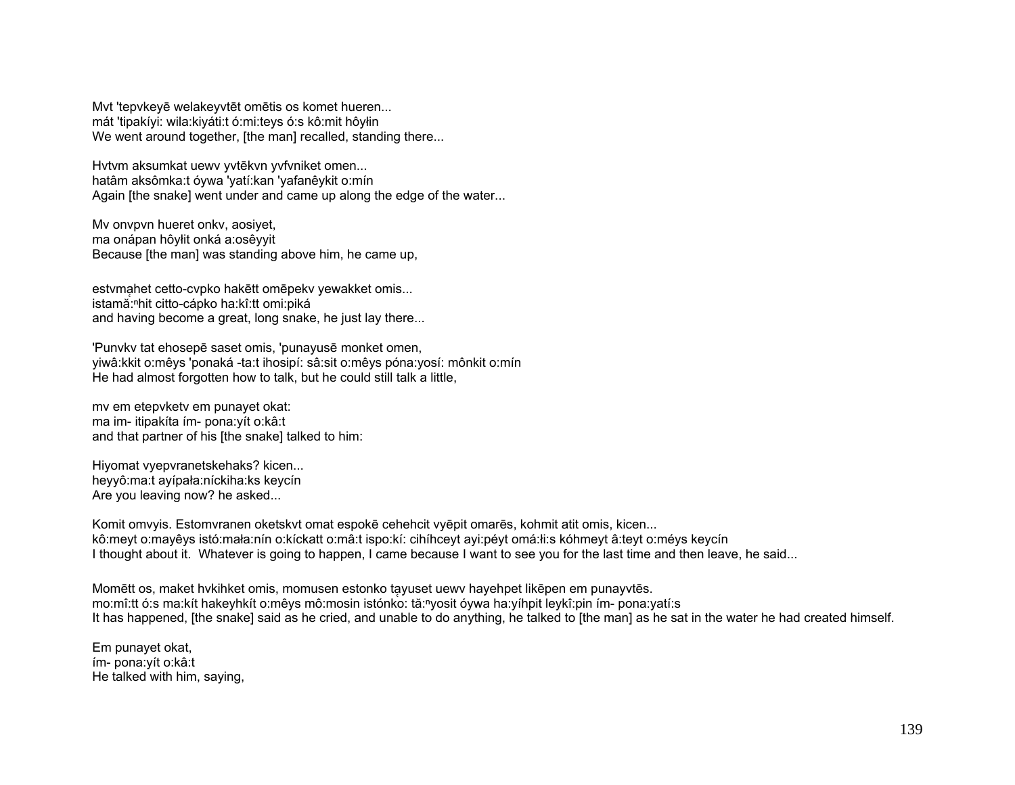Myt 'tepykeyē welakeyytēt omētis os komet hueren... mát 'tipakíyi: wila: kiyáti: tó: mi: teys ó: s kô: mit hôyłin We went around together, [the man] recalled, standing there...

Hytym aksumkat uewy yytēkyn yyfyniket omen... hatâm aksômka:t óywa 'yatí:kan 'yafanêykit o:mín Again [the snake] went under and came up along the edge of the water...

My onypyn hueret onky, aosiyet, ma onápan hôylit onká a:osêyyit Because [the man] was standing above him, he came up.

estymahet cetto-cypko hakētt omēpeky yewakket omis... istamă:<sup>n</sup>hit citto-cápko ha:kî:tt omi:piká and having become a great, long snake, he just lay there...

'Punyky tat ehosepē saset omis, 'punayusē monket omen, viwâ: kkit o: mêvs 'ponaká - ta: t ihosipí: sâ: sit o: mêvs póna: vosí: mônkit o: mín He had almost forgotten how to talk, but he could still talk a little,

my em etepykety em punayet okat: ma im- itipakíta ím- pona: yít o: kâ: t and that partner of his [the snake] talked to him:

Hiyomat vyepvranetskehaks? kicen... heyyô:ma:t ayípała:níckiha:ks keycín Are you leaving now? he asked...

Komit omvyis. Estomvranen oketskyt omat espokē cehehcit vyēpit omarēs, kohmit atit omis, kicen... kô:meyt o:mayêys istó:mała:nín o:kíckatt o:mâ:t ispo:kí: cihíhceyt ayi:péyt omá:łi:s kóhmeyt â:teyt o:méys keycín I thought about it. Whatever is going to happen, I came because I want to see you for the last time and then leave, he said...

Momett os, maket hykihket omis, momusen estonko tayuset uewy hayehpet likepen em punayytes. mo:mî:tt ó:s ma:kít hakeyhkít o:mêys mô:mosin istónko: tă:"yosit óywa ha:yíhpit leykî:pin ím- pona:yatí:s It has happened, [the snake] said as he cried, and unable to do anything, he talked to [the man] as he sat in the water he had created himself.

Em punayet okat, ím- pona: vít o: kâ: t He talked with him, saying,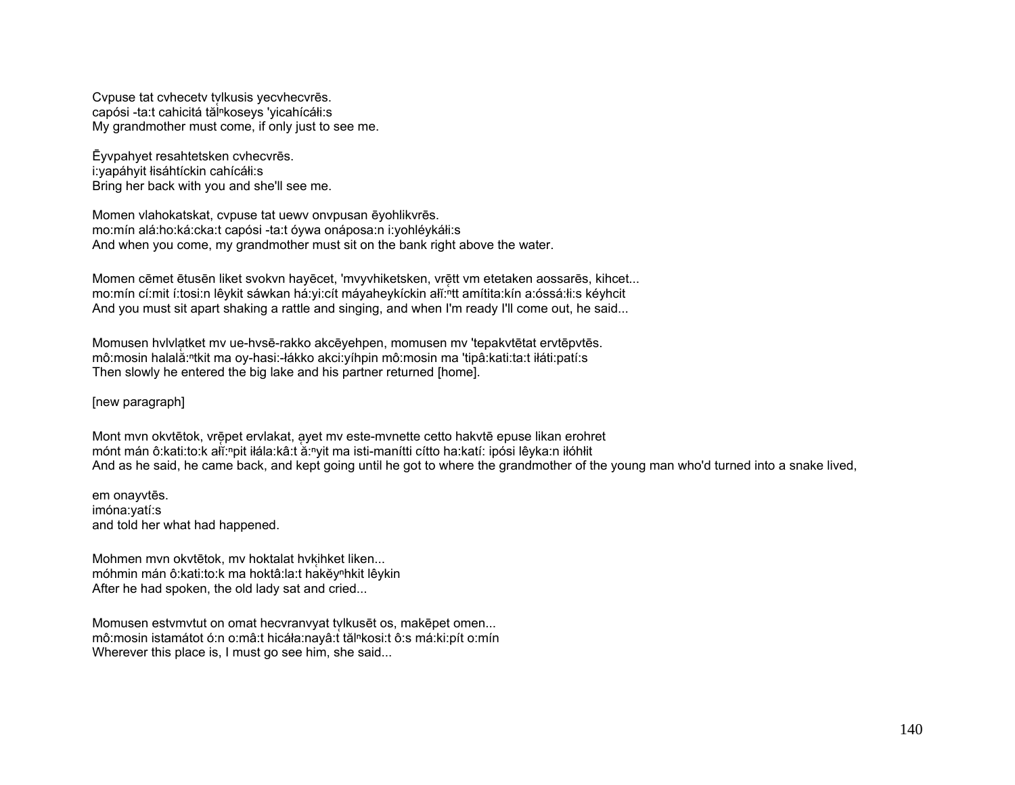Cypuse tat cyhecety tylkusis yecyhecyres. capósi - ta:t cahicitá tăl<sup>n</sup>koseys 'yicahícáli:s My grandmother must come, if only just to see me.

Evypahyet resahtetsken cyhecyres. i: vapáhyit lisáhtíckin cahícáli: s Bring her back with you and she'll see me.

Momen vlahokatskat, cypuse tat uewy onypusan ēyohlikyrēs. mo:mín alá:ho:ká:cka:t capósi -ta:t óywa onáposa:n i:yohléykáłi:s And when you come, my grandmother must sit on the bank right above the water.

Momen cēmet ētusēn liket svokvn hayēcet, 'mvyvhiketsken, vrētt vm etetaken aossarēs, kihcet... mo:mín cí:mit í:tosi:n lêykit sáwkan há:yi:cít máyaheykíckin ali:nt amítita:kín a:óssá:łi:s kéyhcit And you must sit apart shaking a rattle and singing, and when I'm ready I'll come out, he said...

Momusen hylvlatket my ue-hysē-rakko akcēyehpen, momusen my 'tepakytētat erytēpytēs. mô:mosin halală: tkit ma oy-hasi: -łákko akci: yíhpin mô:mosin ma 'tipâ: kati: ta: t iłáti: patí: s Then slowly he entered the big lake and his partner returned [home].

## [new paragraph]

Mont mvn okvtētok, vrēpet ervlakat, ayet mv este-mvnette cetto hakvtē epuse likan erohret mónt mán ô: kati: to: k ali: "pit ilála: kâ: t ă: "yit ma isti-manítti cítto ha: katí: ipósi lêyka: n ilóhlit And as he said, he came back, and kept going until he got to where the grandmother of the young man who'd turned into a snake lived,

em onayvtēs. imóna:vatí:s and told her what had happened.

Mohmen mvn okvtētok, mv hoktalat hvkihket liken... móhmin mán ô: kati: to: k ma hoktâ: la: t hakĕy<sup>n</sup>hkit lêykin After he had spoken, the old lady sat and cried...

Momusen estymytut on omat hecvrany at tylkuset os, makepet omen... mô:mosin istamátot ó:n o:mâ:t hicáła:nayâ:t tăl<sup>n</sup>kosi:t ô:s má:ki:pít o:mín Wherever this place is, I must go see him, she said...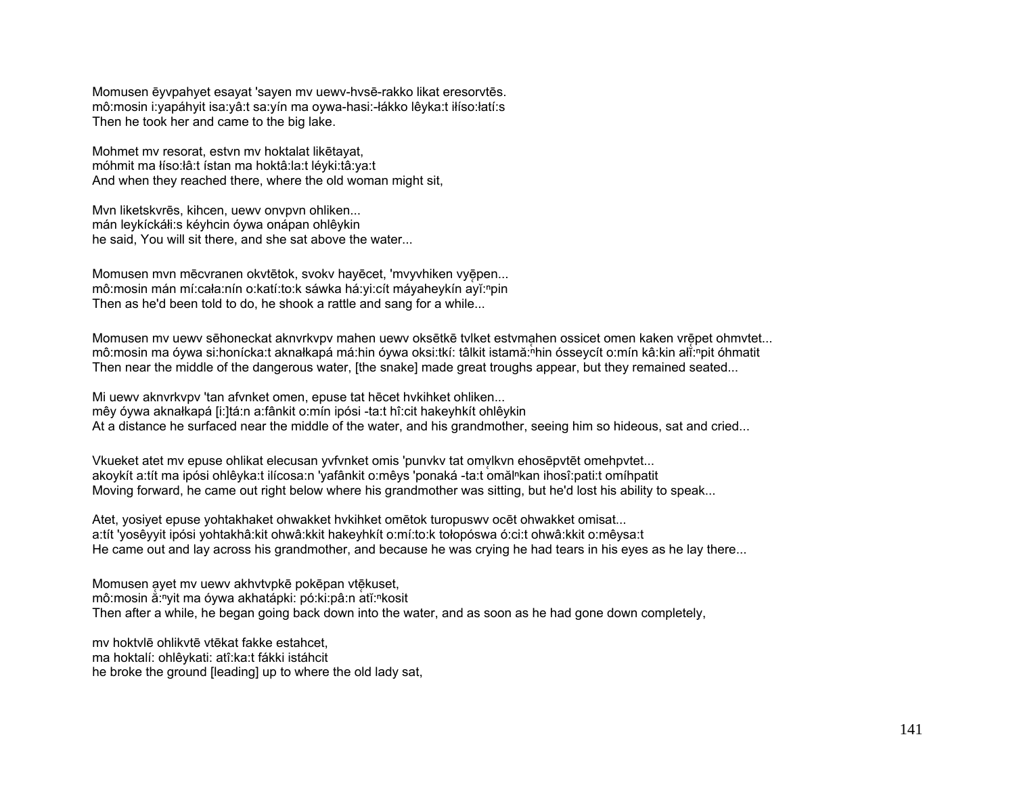Momusen ēyvpahyet esayat 'sayen mv uewv-hvsē-rakko likat eresorvtēs. mô:mosin i:yapáhyit isa:yâ:t sa:yín ma oywa-hasi:-łákko lêyka:t iłíso:łatí:s Then he took her and came to the big lake.

Mohmet mv resorat, estvn mv hoktalat likētayat, móhmit ma łíso:łâ:t ístan ma hoktâ:la:t léyki:tâ:ya:t And when they reached there, where the old woman might sit,

Mvn liketskvrēs, kihcen, uewv onvpvn ohliken... mán leykíckáłi:s kéyhcin óywa onápan ohlêykin he said, You will sit there, and she sat above the water...

Momusen mvn mēcvranen okvtētok, svokv hayēcet, 'mvyvhiken vyēpen... mô:mosin mán mí:cała:nín o:katí:to:k sáwka há:yi:cít máyaheykín ayĭ:<sup>ⁿ</sup>pin Then as he'd been told to do, he shook a rattle and sang for a while...

Momusen mv uewv sēhoneckat aknvrkvpv mahen uewv oksētkē tvlket estvmahen ossicet omen kaken vrēpet ohmvtet... mô:mosin ma óywa si:honícka:t aknałkapá má:hin óywa oksi:tkí: tâlkit istamă:ʰhin ósseycít o:mín kâ:kin ałĭ:ʰpit óhmatit Then near the middle of the dangerous water, [the snake] made great troughs appear, but they remained seated...

Mi uewv aknvrkvpv 'tan afvnket omen, epuse tat hēcet hvkihket ohliken... mêy óywa aknałkapá [i:]tá:n a:fânkit o:mín ipósi -ta:t hî:cit hakeyhkít ohlêykin At a distance he surfaced near the middle of the water, and his grandmother, seeing him so hideous, sat and cried...

Vkueket atet my epuse ohlikat elecusan yvfynket omis 'punyky tat omvlkyn ehosēpvtēt omehpvtet... akoykít a:tít ma ipósi ohlêyka:t ilícosa:n 'yafânkit o:mêys 'ponaká -ta:t omăl<sup>n</sup>kan ihosî:pati:t omíhpatit Moving forward, he came out right below where his grandmother was sitting, but he'd lost his ability to speak...

Atet, yosiyet epuse yohtakhaket ohwakket hvkihket omētok turopuswv ocēt ohwakket omisat... a:tít 'yosêyyit ipósi yohtakhâ:kit ohwâ:kkit hakeyhkít o:mí:to:k tołopóswa ó:ci:t ohwâ:kkit o:mêysa:t He came out and lay across his grandmother, and because he was crying he had tears in his eyes as he lay there...

Momusen a ̜yet mv uewv akhvtvpkē pokēpan vtē̜kuset, mô:mosin ă:<sup>ⁿ</sup>yit ma óywa akhatápki: pó:ki:pâ:n atĭ:<sup>ⁿ</sup>kosit Then after a while, he began going back down into the water, and as soon as he had gone down completely,

mv hoktvlē ohlikvtē vtēkat fakke estahcet, ma hoktalí: ohlêykati: atî:ka:t fákki istáhcit he broke the ground [leading] up to where the old lady sat,